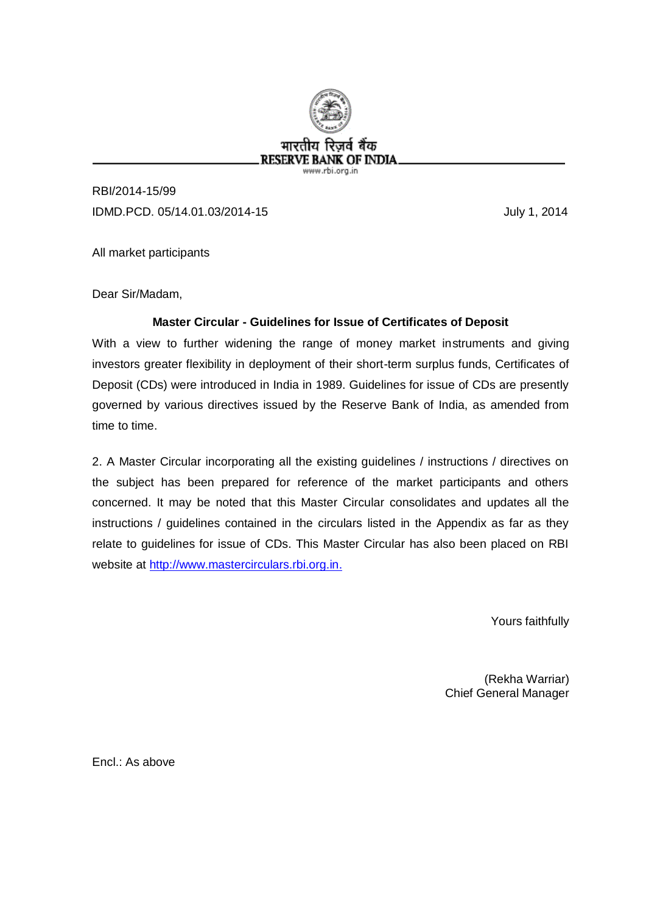

RBI/2014-15/99 IDMD.PCD. 05/14.01.03/2014-15 July 1, 2014

All market participants

Dear Sir/Madam,

# **Master Circular - Guidelines for Issue of Certificates of Deposit**

With a view to further widening the range of money market instruments and giving investors greater flexibility in deployment of their short-term surplus funds, Certificates of Deposit (CDs) were introduced in India in 1989. Guidelines for issue of CDs are presently governed by various directives issued by the Reserve Bank of India, as amended from time to time.

2. A Master Circular incorporating all the existing guidelines / instructions / directives on the subject has been prepared for reference of the market participants and others concerned. It may be noted that this Master Circular consolidates and updates all the instructions / guidelines contained in the circulars listed in the Appendix as far as they relate to guidelines for issue of CDs. This Master Circular has also been placed on RBI website at [http://www.mastercirculars.rbi.org.in.](http://www.mastercirculars.rbi.org.in/)

Yours faithfully

(Rekha Warriar) Chief General Manager

Encl.: As above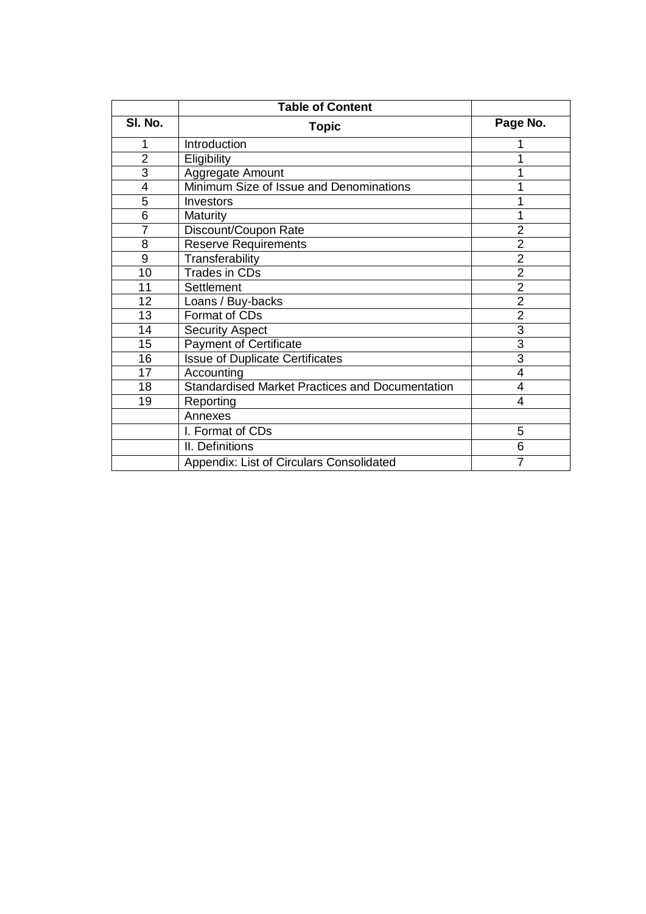| <b>Table of Content</b> |                                                        |                |  |
|-------------------------|--------------------------------------------------------|----------------|--|
| SI. No.                 | <b>Topic</b>                                           | Page No.       |  |
| 1                       | Introduction                                           |                |  |
| $\overline{2}$          | Eligibility                                            |                |  |
| 3                       | Aggregate Amount                                       |                |  |
| 4                       | Minimum Size of Issue and Denominations                |                |  |
| 5                       | Investors                                              |                |  |
| 6                       | Maturity                                               |                |  |
| 7                       | Discount/Coupon Rate                                   | $\overline{2}$ |  |
| 8                       | <b>Reserve Requirements</b>                            | $\overline{2}$ |  |
| 9                       | Transferability                                        | $\overline{2}$ |  |
| 10                      | Trades in CDs                                          | $\overline{2}$ |  |
| 11                      | <b>Settlement</b>                                      | $\overline{2}$ |  |
| 12                      | Loans / Buy-backs                                      | $\overline{2}$ |  |
| 13                      | Format of CDs                                          | $\overline{2}$ |  |
| 14                      | <b>Security Aspect</b>                                 | 3              |  |
| 15                      | <b>Payment of Certificate</b>                          | $\overline{3}$ |  |
| 16                      | <b>Issue of Duplicate Certificates</b>                 | 3              |  |
| 17                      | Accounting                                             | $\overline{4}$ |  |
| 18                      | <b>Standardised Market Practices and Documentation</b> | 4              |  |
| 19                      | Reporting                                              | 4              |  |
|                         | Annexes                                                |                |  |
|                         | I. Format of CDs                                       | 5              |  |
|                         | II. Definitions                                        | 6              |  |
|                         | Appendix: List of Circulars Consolidated               | 7              |  |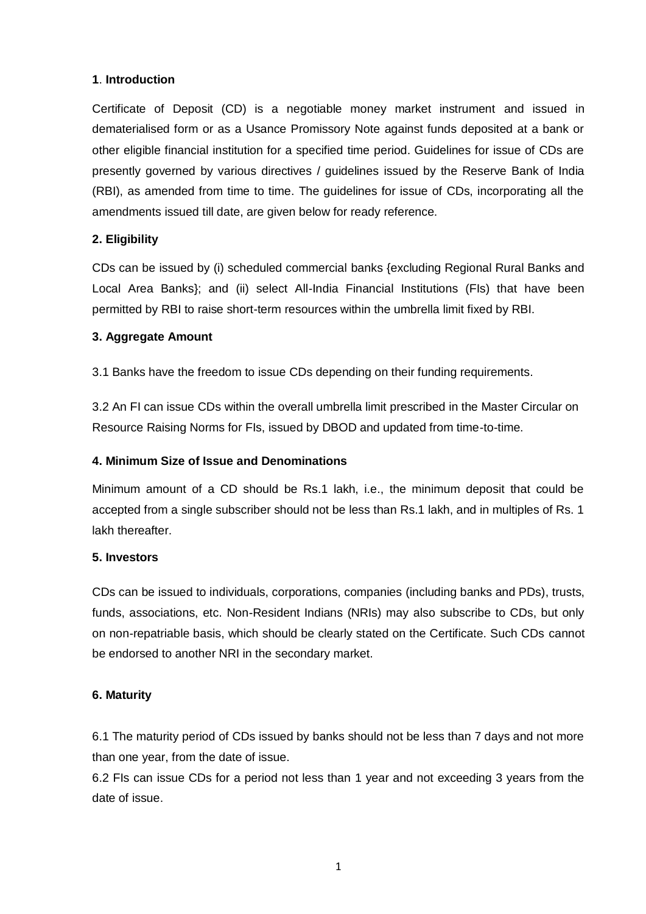## **1**. **Introduction**

Certificate of Deposit (CD) is a negotiable money market instrument and issued in dematerialised form or as a Usance Promissory Note against funds deposited at a bank or other eligible financial institution for a specified time period. Guidelines for issue of CDs are presently governed by various directives / guidelines issued by the Reserve Bank of India (RBI), as amended from time to time. The guidelines for issue of CDs, incorporating all the amendments issued till date, are given below for ready reference.

# **2. Eligibility**

CDs can be issued by (i) scheduled commercial banks {excluding Regional Rural Banks and Local Area Banks}; and (ii) select All-India Financial Institutions (FIs) that have been permitted by RBI to raise short-term resources within the umbrella limit fixed by RBI.

# **3. Aggregate Amount**

3.1 Banks have the freedom to issue CDs depending on their funding requirements.

3.2 An FI can issue CDs within the overall umbrella limit prescribed in the Master Circular on Resource Raising Norms for FIs, issued by DBOD and updated from time-to-time.

## **4. Minimum Size of Issue and Denominations**

Minimum amount of a CD should be Rs.1 lakh, i.e., the minimum deposit that could be accepted from a single subscriber should not be less than Rs.1 lakh, and in multiples of Rs. 1 lakh thereafter.

## **5. Investors**

CDs can be issued to individuals, corporations, companies (including banks and PDs), trusts, funds, associations, etc. Non-Resident Indians (NRIs) may also subscribe to CDs, but only on non-repatriable basis, which should be clearly stated on the Certificate. Such CDs cannot be endorsed to another NRI in the secondary market.

## **6. Maturity**

6.1 The maturity period of CDs issued by banks should not be less than 7 days and not more than one year, from the date of issue.

6.2 FIs can issue CDs for a period not less than 1 year and not exceeding 3 years from the date of issue.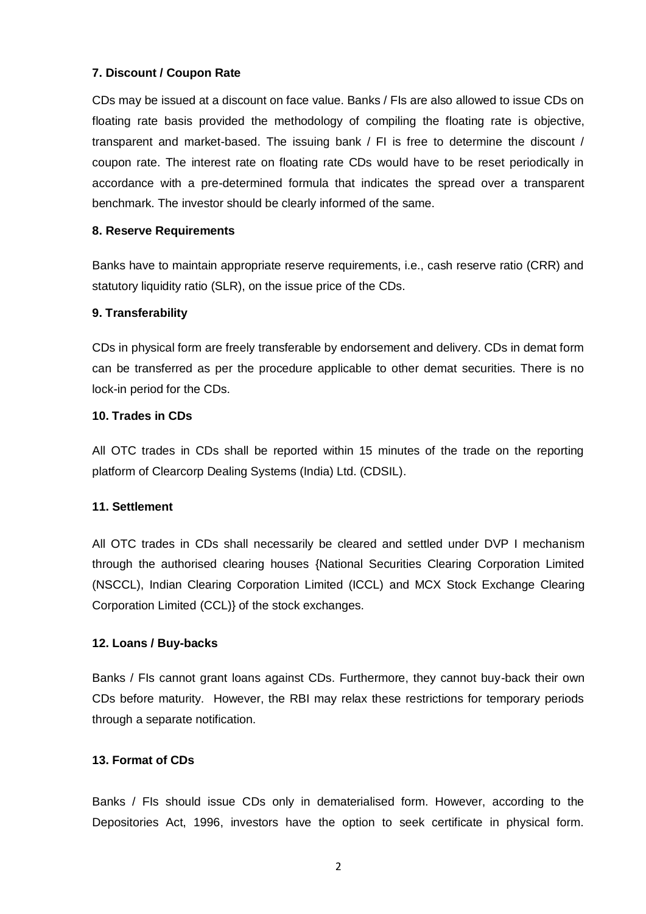## **7. Discount / Coupon Rate**

CDs may be issued at a discount on face value. Banks / FIs are also allowed to issue CDs on floating rate basis provided the methodology of compiling the floating rate is objective, transparent and market-based. The issuing bank / FI is free to determine the discount / coupon rate. The interest rate on floating rate CDs would have to be reset periodically in accordance with a pre-determined formula that indicates the spread over a transparent benchmark. The investor should be clearly informed of the same.

## **8. Reserve Requirements**

Banks have to maintain appropriate reserve requirements, i.e., cash reserve ratio (CRR) and statutory liquidity ratio (SLR), on the issue price of the CDs.

## **9. Transferability**

CDs in physical form are freely transferable by endorsement and delivery. CDs in demat form can be transferred as per the procedure applicable to other demat securities. There is no lock-in period for the CDs.

## **10. Trades in CDs**

All OTC trades in CDs shall be reported within 15 minutes of the trade on the reporting platform of Clearcorp Dealing Systems (India) Ltd. (CDSIL).

## **11. Settlement**

All OTC trades in CDs shall necessarily be cleared and settled under DVP I mechanism through the authorised clearing houses {National Securities Clearing Corporation Limited (NSCCL), Indian Clearing Corporation Limited (ICCL) and MCX Stock Exchange Clearing Corporation Limited (CCL)} of the stock exchanges.

## **12. Loans / Buy-backs**

Banks / FIs cannot grant loans against CDs. Furthermore, they cannot buy-back their own CDs before maturity. However, the RBI may relax these restrictions for temporary periods through a separate notification.

# **13. Format of CDs**

Banks / FIs should issue CDs only in dematerialised form. However, according to the Depositories Act, 1996, investors have the option to seek certificate in physical form.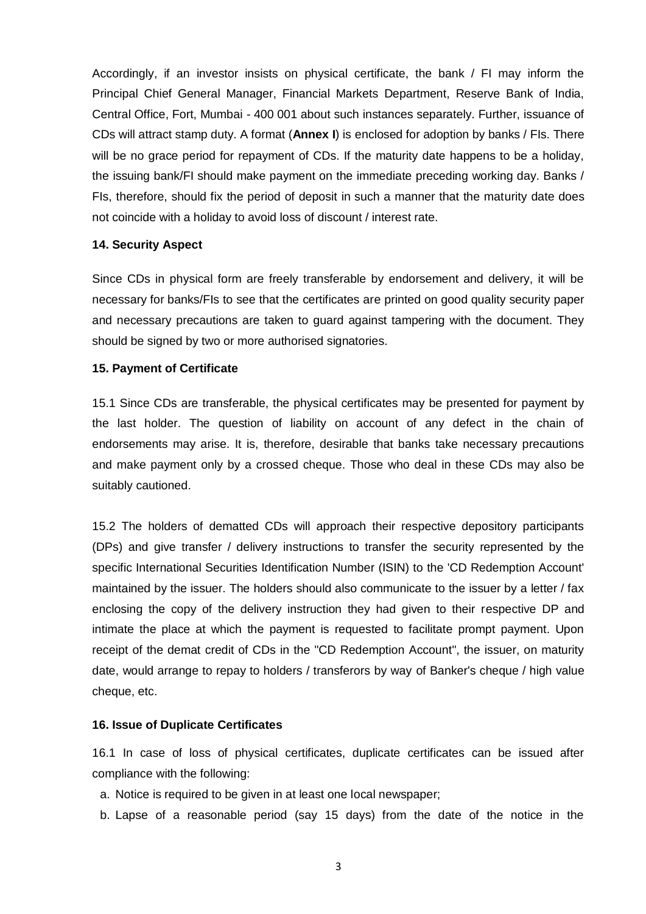Accordingly, if an investor insists on physical certificate, the bank / FI may inform the Principal Chief General Manager, Financial Markets Department, Reserve Bank of India, Central Office, Fort, Mumbai - 400 001 about such instances separately. Further, issuance of CDs will attract stamp duty. A format (**Annex I**) is enclosed for adoption by banks / FIs. There will be no grace period for repayment of CDs. If the maturity date happens to be a holiday, the issuing bank/FI should make payment on the immediate preceding working day. Banks / FIs, therefore, should fix the period of deposit in such a manner that the maturity date does not coincide with a holiday to avoid loss of discount / interest rate.

#### **14. Security Aspect**

Since CDs in physical form are freely transferable by endorsement and delivery, it will be necessary for banks/FIs to see that the certificates are printed on good quality security paper and necessary precautions are taken to guard against tampering with the document. They should be signed by two or more authorised signatories.

#### **15. Payment of Certificate**

15.1 Since CDs are transferable, the physical certificates may be presented for payment by the last holder. The question of liability on account of any defect in the chain of endorsements may arise. It is, therefore, desirable that banks take necessary precautions and make payment only by a crossed cheque. Those who deal in these CDs may also be suitably cautioned.

15.2 The holders of dematted CDs will approach their respective depository participants (DPs) and give transfer / delivery instructions to transfer the security represented by the specific International Securities Identification Number (ISIN) to the 'CD Redemption Account' maintained by the issuer. The holders should also communicate to the issuer by a letter / fax enclosing the copy of the delivery instruction they had given to their respective DP and intimate the place at which the payment is requested to facilitate prompt payment. Upon receipt of the demat credit of CDs in the "CD Redemption Account", the issuer, on maturity date, would arrange to repay to holders / transferors by way of Banker's cheque / high value cheque, etc.

## **16. Issue of Duplicate Certificates**

16.1 In case of loss of physical certificates, duplicate certificates can be issued after compliance with the following:

- a. Notice is required to be given in at least one local newspaper;
- b. Lapse of a reasonable period (say 15 days) from the date of the notice in the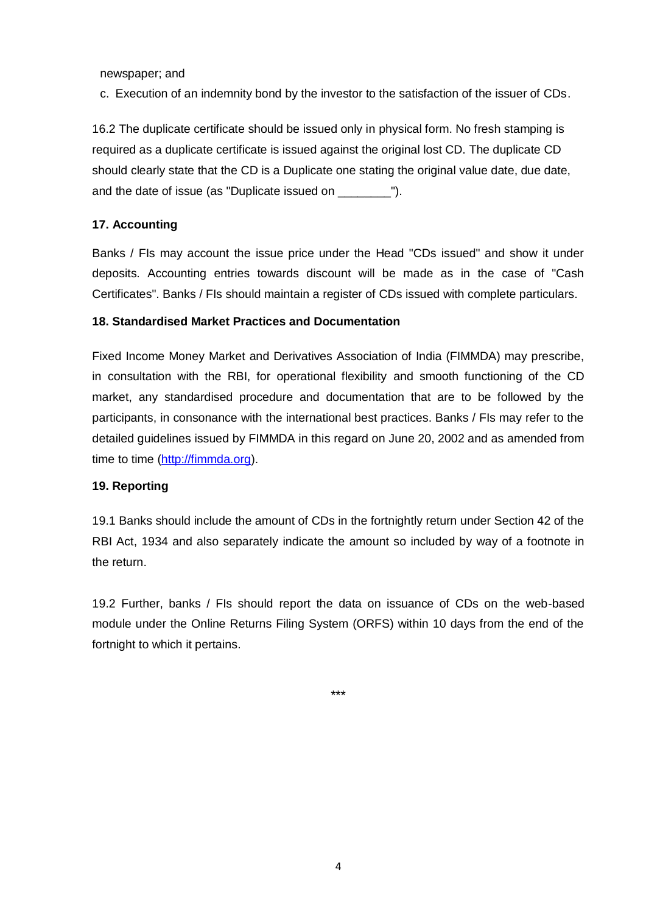newspaper; and

c. Execution of an indemnity bond by the investor to the satisfaction of the issuer of CDs.

16.2 The duplicate certificate should be issued only in physical form. No fresh stamping is required as a duplicate certificate is issued against the original lost CD. The duplicate CD should clearly state that the CD is a Duplicate one stating the original value date, due date, and the date of issue (as "Duplicate issued on \_\_\_\_\_\_\_\_\_").

#### **17. Accounting**

Banks / FIs may account the issue price under the Head "CDs issued" and show it under deposits. Accounting entries towards discount will be made as in the case of "Cash Certificates". Banks / FIs should maintain a register of CDs issued with complete particulars.

#### **18. Standardised Market Practices and Documentation**

Fixed Income Money Market and Derivatives Association of India (FIMMDA) may prescribe, in consultation with the RBI, for operational flexibility and smooth functioning of the CD market, any standardised procedure and documentation that are to be followed by the participants, in consonance with the international best practices. Banks / FIs may refer to the detailed guidelines issued by FIMMDA in this regard on June 20, 2002 and as amended from time to time [\(http://fimmda.org\)](http://fimmda.org/).

#### **19. Reporting**

19.1 Banks should include the amount of CDs in the fortnightly return under Section 42 of the RBI Act, 1934 and also separately indicate the amount so included by way of a footnote in the return.

19.2 Further, banks / FIs should report the data on issuance of CDs on the web-based module under the Online Returns Filing System (ORFS) within 10 days from the end of the fortnight to which it pertains.

\*\*\*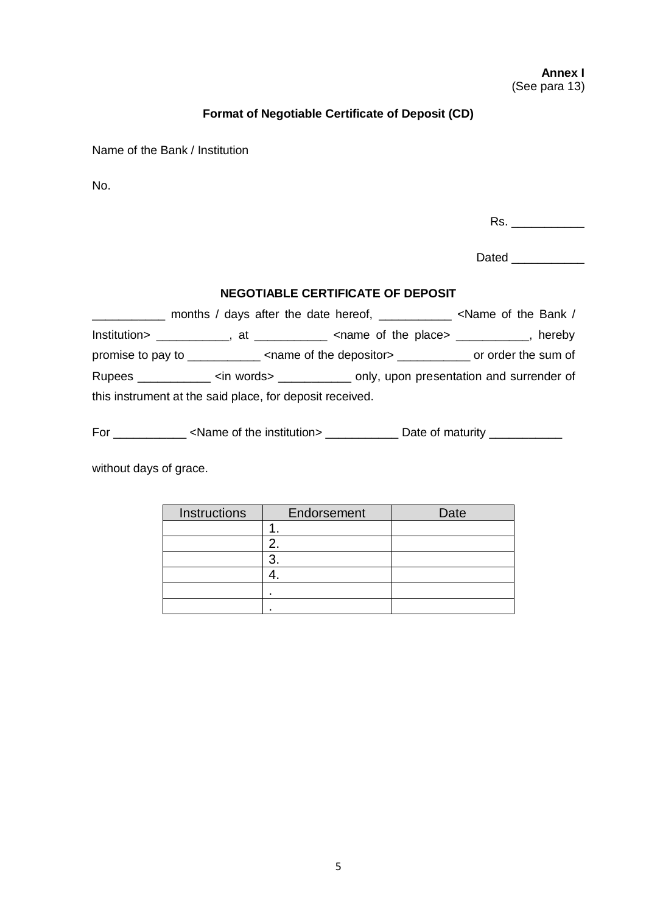## **Annex I** (See para 13)

## **Format of Negotiable Certificate of Deposit (CD)**

Name of the Bank / Institution

No.

Rs. \_\_\_\_\_\_\_\_\_\_\_

Dated **Dates** 

# **NEGOTIABLE CERTIFICATE OF DEPOSIT**

\_\_\_\_\_\_\_\_\_\_\_ months / days after the date hereof, \_\_\_\_\_\_\_\_\_\_\_ <Name of the Bank / Institution> \_\_\_\_\_\_\_\_\_\_\_, at \_\_\_\_\_\_\_\_\_\_\_ <name of the place> \_\_\_\_\_\_\_\_\_\_\_, hereby promise to pay to \_\_\_\_\_\_\_\_\_\_\_ <name of the depositor> \_\_\_\_\_\_\_\_\_\_\_ or order the sum of Rupees \_\_\_\_\_\_\_\_\_\_\_ <in words> \_\_\_\_\_\_\_\_\_\_\_ only, upon presentation and surrender of this instrument at the said place, for deposit received.

For \_\_\_\_\_\_\_\_\_\_\_\_ <Name of the institution> \_\_\_\_\_\_\_\_\_\_\_\_\_ Date of maturity \_\_\_\_\_\_\_\_\_\_\_\_

without days of grace.

| Instructions | Endorsement | Date |
|--------------|-------------|------|
|              |             |      |
|              |             |      |
|              | ┍           |      |
|              |             |      |
|              |             |      |
|              |             |      |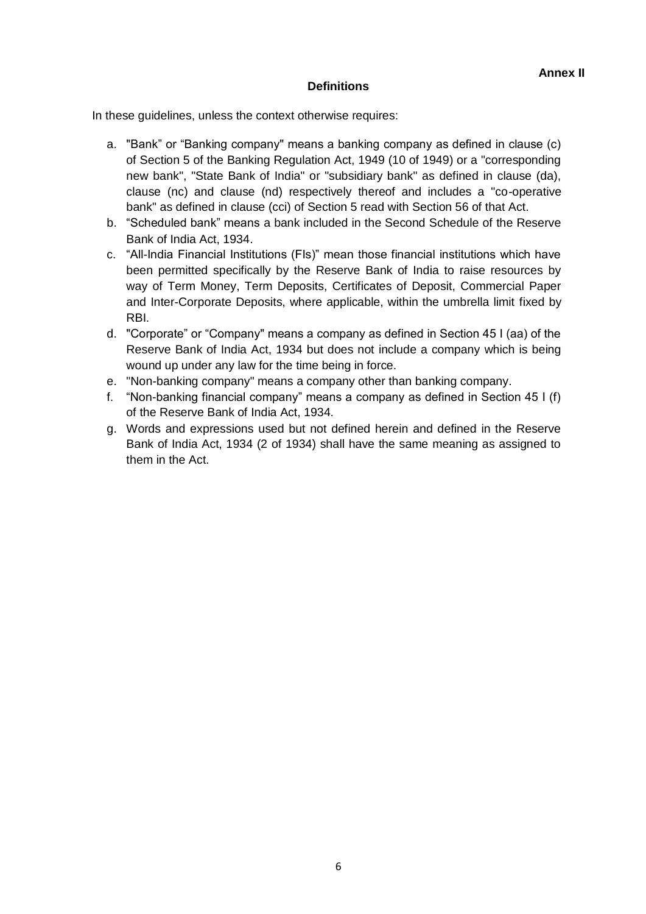# **Definitions**

In these guidelines, unless the context otherwise requires:

- a. "Bank" or "Banking company" means a banking company as defined in clause (c) of Section 5 of the Banking Regulation Act, 1949 (10 of 1949) or a "corresponding new bank", "State Bank of India" or "subsidiary bank" as defined in clause (da), clause (nc) and clause (nd) respectively thereof and includes a "co-operative bank" as defined in clause (cci) of Section 5 read with Section 56 of that Act.
- b. "Scheduled bank" means a bank included in the Second Schedule of the Reserve Bank of India Act, 1934.
- c. "All-India Financial Institutions (FIs)" mean those financial institutions which have been permitted specifically by the Reserve Bank of India to raise resources by way of Term Money, Term Deposits, Certificates of Deposit, Commercial Paper and Inter-Corporate Deposits, where applicable, within the umbrella limit fixed by RBI.
- d. "Corporate" or "Company" means a company as defined in Section 45 I (aa) of the Reserve Bank of India Act, 1934 but does not include a company which is being wound up under any law for the time being in force.
- e. "Non-banking company" means a company other than banking company.
- f. "Non-banking financial company" means a company as defined in Section 45 I (f) of the Reserve Bank of India Act, 1934.
- g. Words and expressions used but not defined herein and defined in the Reserve Bank of India Act, 1934 (2 of 1934) shall have the same meaning as assigned to them in the Act.